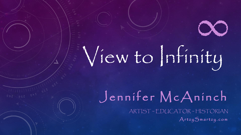# View to Infinity

Jennifer McAninch ARTIST ~ EDUCATOR ~ HISTORIAN Artzy Smartzy.com

∞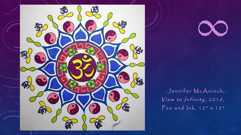



Jennifer McAninch, View to Infinity, 2016, Pen and Ink, 12" x 12"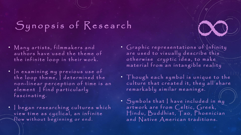## Synopsis of Research

- Many artists, filmmakers and authors have used the theme of the infinite loop in their work.
- $\cdot$   $\vert$ n examining my previous use of the loop theme, I determined the non-linear perception of time is an element | find particularly fascinating.
- I began researching cultures which view time as cyclical, an infinite flow without beginning or end.

• Graphic representations of Infinity are used to visually describe this o therwise cryptic idea, to make material from an intangible reality

∞

- Though each symbol is unique to the culture that created it, they all share remarkably similar meanings.
- Symbols that I have included in my artwork are from  $C$  eltic,  $G$ reek, Hindu, Buddhist, Tao, Phoenician and  $N$  ative  $A$  merican traditions.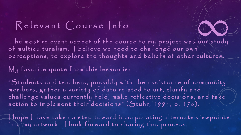#### Relevant Course Info

The most relevant aspect of the course to my project was our study Relevant Course Info<br>The most relevant aspect of the course to my project was our study<br>of multiculturalism. I believe we need to challenge our own p er c eptions, to explore the thoughts and beliefs of other cultures.

My favorite quote from this lesson is:

"Students and teachers, possibly with the assistance of community members, gather a variety of data related to art, clarify and challenge values currently held, make reflective decisions, and take action to implement their decisions" (Stuhr, 1994, p. 176).

 $\lceil$  hope  $\lceil$  have taken a step toward incorporating alternate viewpoints into my artwork. I look forward to sharing this process.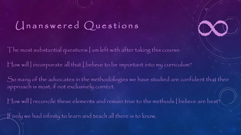### Unanswered Questions

The most substantial questions I am left with after taking this course:

How will I incorporate all that I believe to be important into my curriculum?

So many of the advocates in the methodologies we have studied are confident that their approach is most, if not exclusively correct.

∞

How will I reconcile these elements and remain true to the methods I believe are best?

If only we had infinity to learn and teach all there is to know.